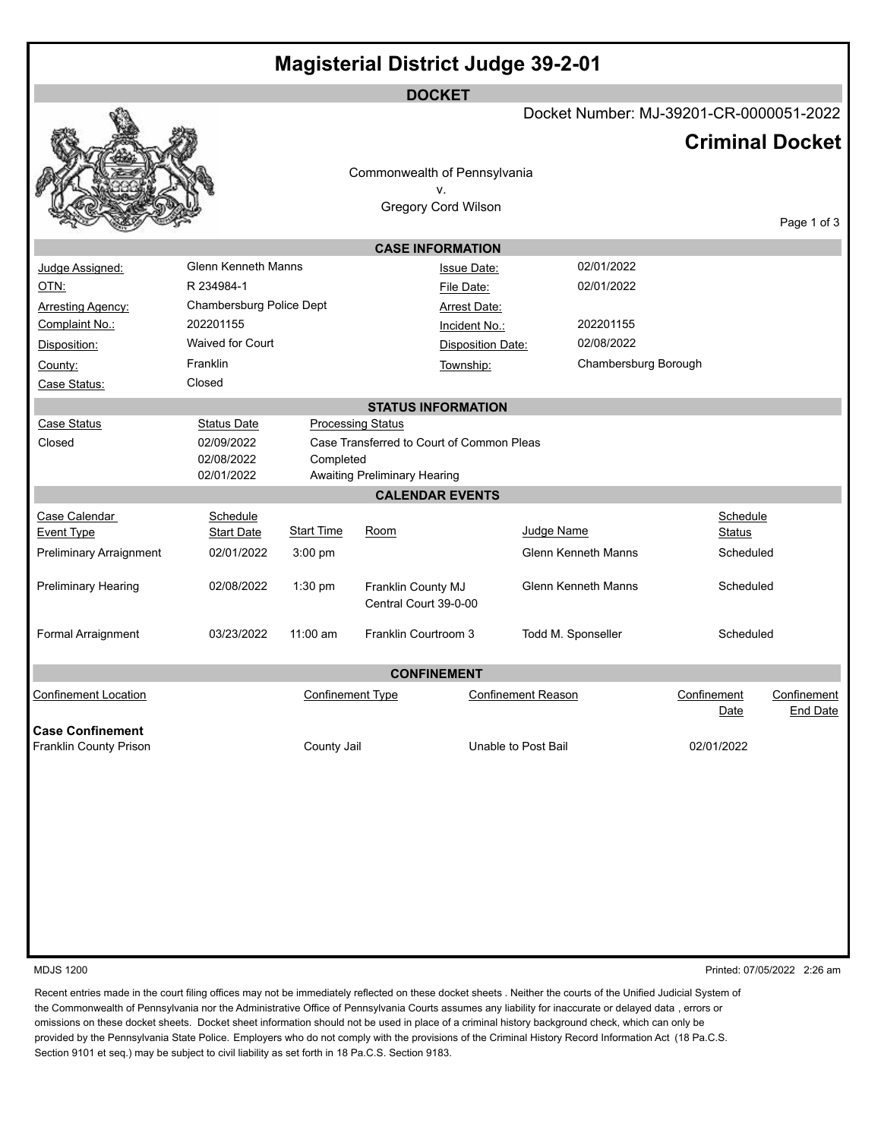| <b>Magisterial District Judge 39-2-01</b> |                            |                         |                                           |                          |                            |                                         |                                |
|-------------------------------------------|----------------------------|-------------------------|-------------------------------------------|--------------------------|----------------------------|-----------------------------------------|--------------------------------|
|                                           |                            |                         | <b>DOCKET</b>                             |                          |                            |                                         |                                |
|                                           |                            |                         |                                           |                          |                            | Docket Number: MJ-39201-CR-0000051-2022 |                                |
|                                           |                            |                         |                                           |                          |                            | <b>Criminal Docket</b>                  |                                |
|                                           |                            |                         |                                           |                          |                            |                                         |                                |
|                                           |                            |                         | Commonwealth of Pennsylvania              |                          |                            |                                         |                                |
|                                           |                            |                         | ۷.<br><b>Gregory Cord Wilson</b>          |                          |                            |                                         |                                |
|                                           |                            |                         |                                           |                          |                            |                                         | Page 1 of 3                    |
|                                           |                            |                         | <b>CASE INFORMATION</b>                   |                          |                            |                                         |                                |
| Judge Assigned:                           | <b>Glenn Kenneth Manns</b> |                         |                                           | <b>Issue Date:</b>       | 02/01/2022                 |                                         |                                |
| OTN:                                      | R 234984-1                 |                         |                                           | File Date:               | 02/01/2022                 |                                         |                                |
| <b>Arresting Agency:</b>                  | Chambersburg Police Dept   |                         |                                           | <b>Arrest Date:</b>      |                            |                                         |                                |
| Complaint No.:                            | 202201155                  |                         |                                           | Incident No.:            | 202201155                  |                                         |                                |
| Disposition:                              | <b>Waived for Court</b>    |                         |                                           | <b>Disposition Date:</b> | 02/08/2022                 |                                         |                                |
| County:                                   | Franklin                   |                         |                                           | Township:                |                            | Chambersburg Borough                    |                                |
| Case Status:                              | Closed                     |                         |                                           |                          |                            |                                         |                                |
| <b>STATUS INFORMATION</b>                 |                            |                         |                                           |                          |                            |                                         |                                |
| <b>Case Status</b>                        | <b>Status Date</b>         |                         | <b>Processing Status</b>                  |                          |                            |                                         |                                |
| Closed                                    | 02/09/2022                 |                         | Case Transferred to Court of Common Pleas |                          |                            |                                         |                                |
|                                           | 02/08/2022                 | Completed               |                                           |                          |                            |                                         |                                |
|                                           | 02/01/2022                 |                         | <b>Awaiting Preliminary Hearing</b>       |                          |                            |                                         |                                |
|                                           |                            |                         | <b>CALENDAR EVENTS</b>                    |                          |                            |                                         |                                |
| Case Calendar                             | Schedule                   |                         |                                           |                          |                            | Schedule                                |                                |
| <b>Event Type</b>                         | <b>Start Date</b>          | <b>Start Time</b>       | <u>Room</u>                               |                          | Judge Name                 | <b>Status</b>                           |                                |
| <b>Preliminary Arraignment</b>            | 02/01/2022                 | 3:00 pm                 |                                           |                          | <b>Glenn Kenneth Manns</b> | Scheduled                               |                                |
| Preliminary Hearing                       | 02/08/2022                 | $1:30$ pm               | Franklin County MJ                        |                          | <b>Glenn Kenneth Manns</b> | Scheduled                               |                                |
|                                           |                            |                         | Central Court 39-0-00                     |                          |                            |                                         |                                |
| Formal Arraignment                        | 03/23/2022                 | $11:00$ am              | Franklin Courtroom 3                      |                          | Todd M. Sponseller         | Scheduled                               |                                |
|                                           |                            |                         |                                           |                          |                            |                                         |                                |
| <b>CONFINEMENT</b>                        |                            |                         |                                           |                          |                            |                                         |                                |
| <b>Confinement Location</b>               |                            | <b>Confinement Type</b> |                                           |                          | <b>Confinement Reason</b>  | Confinement<br>Date                     | Confinement<br><b>End Date</b> |
| <b>Case Confinement</b>                   |                            |                         |                                           |                          |                            |                                         |                                |
| Franklin County Prison                    |                            | County Jail             |                                           |                          | Unable to Post Bail        | 02/01/2022                              |                                |
|                                           |                            |                         |                                           |                          |                            |                                         |                                |
|                                           |                            |                         |                                           |                          |                            |                                         |                                |
|                                           |                            |                         |                                           |                          |                            |                                         |                                |
|                                           |                            |                         |                                           |                          |                            |                                         |                                |
|                                           |                            |                         |                                           |                          |                            |                                         |                                |

MDJS 1200 Printed: 07/05/2022 2:26 am

Recent entries made in the court filing offices may not be immediately reflected on these docket sheets . Neither the courts of the Unified Judicial System of the Commonwealth of Pennsylvania nor the Administrative Office of Pennsylvania Courts assumes any liability for inaccurate or delayed data , errors or omissions on these docket sheets. Docket sheet information should not be used in place of a criminal history background check, which can only be provided by the Pennsylvania State Police. Employers who do not comply with the provisions of the Criminal History Record Information Act (18 Pa.C.S. Section 9101 et seq.) may be subject to civil liability as set forth in 18 Pa.C.S. Section 9183.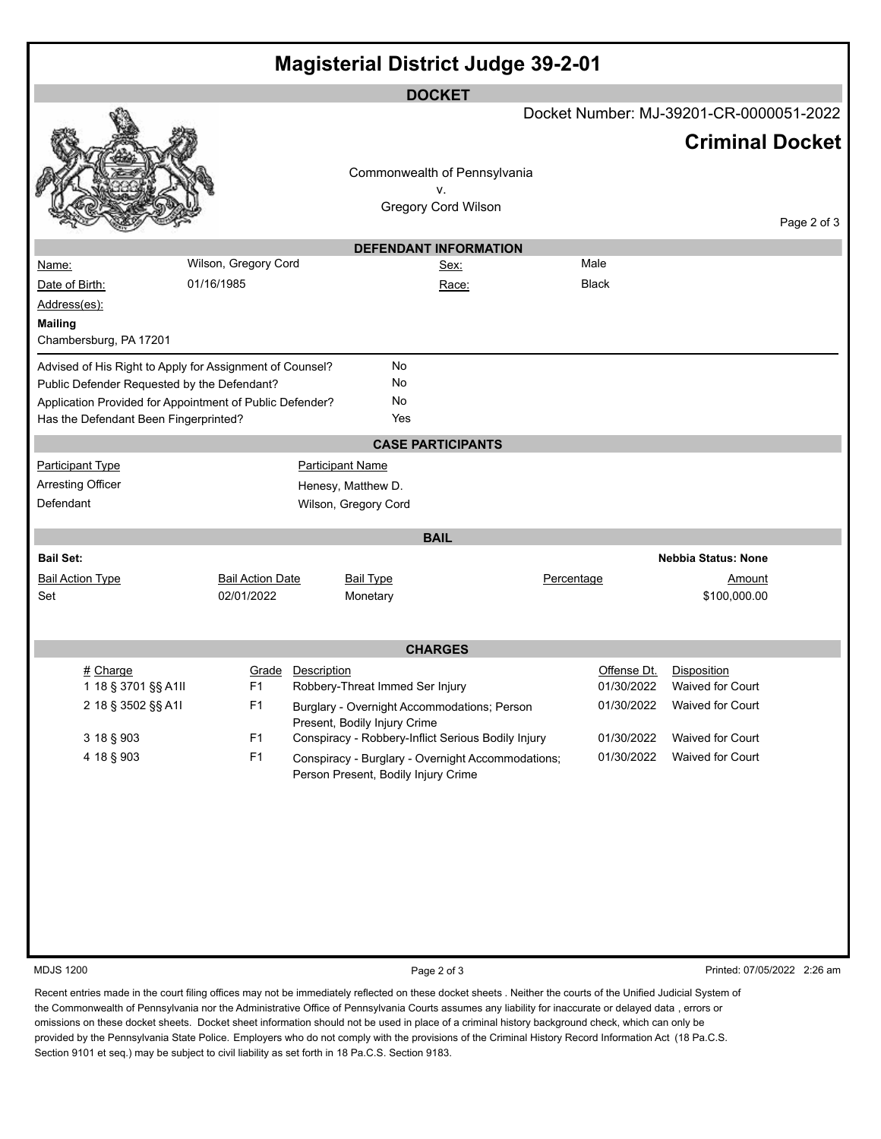| <b>Magisterial District Judge 39-2-01</b>                |                         |                                                    |                                         |                             |             |  |
|----------------------------------------------------------|-------------------------|----------------------------------------------------|-----------------------------------------|-----------------------------|-------------|--|
| <b>DOCKET</b>                                            |                         |                                                    |                                         |                             |             |  |
|                                                          |                         |                                                    | Docket Number: MJ-39201-CR-0000051-2022 |                             |             |  |
|                                                          |                         | Commonwealth of Pennsylvania<br>v.                 |                                         | <b>Criminal Docket</b>      |             |  |
|                                                          |                         | <b>Gregory Cord Wilson</b>                         |                                         |                             | Page 2 of 3 |  |
|                                                          |                         | <b>DEFENDANT INFORMATION</b>                       |                                         |                             |             |  |
| Name:                                                    | Wilson, Gregory Cord    | Sex:                                               | Male                                    |                             |             |  |
| Date of Birth:                                           | 01/16/1985              | Race:                                              | <b>Black</b>                            |                             |             |  |
| Address(es):                                             |                         |                                                    |                                         |                             |             |  |
| <b>Mailing</b>                                           |                         |                                                    |                                         |                             |             |  |
| Chambersburg, PA 17201                                   |                         |                                                    |                                         |                             |             |  |
| Advised of His Right to Apply for Assignment of Counsel? |                         | No                                                 |                                         |                             |             |  |
| Public Defender Requested by the Defendant?              |                         | No                                                 |                                         |                             |             |  |
| Application Provided for Appointment of Public Defender? |                         | No                                                 |                                         |                             |             |  |
| Has the Defendant Been Fingerprinted?                    |                         | Yes                                                |                                         |                             |             |  |
|                                                          |                         | <b>CASE PARTICIPANTS</b>                           |                                         |                             |             |  |
| <b>Participant Type</b>                                  | <b>Participant Name</b> |                                                    |                                         |                             |             |  |
| <b>Arresting Officer</b>                                 | Henesy, Matthew D.      |                                                    |                                         |                             |             |  |
| Defendant                                                | Wilson, Gregory Cord    |                                                    |                                         |                             |             |  |
|                                                          |                         |                                                    |                                         |                             |             |  |
|                                                          |                         | <b>BAIL</b>                                        |                                         |                             |             |  |
| <b>Bail Set:</b>                                         |                         |                                                    |                                         | <b>Nebbia Status: None</b>  |             |  |
| <b>Bail Action Type</b>                                  | <b>Bail Action Date</b> | <b>Bail Type</b>                                   | Percentage                              | <u>Amount</u>               |             |  |
| Set                                                      | 02/01/2022              | Monetary                                           |                                         | \$100,000.00                |             |  |
|                                                          |                         |                                                    |                                         |                             |             |  |
|                                                          |                         | <b>CHARGES</b>                                     |                                         |                             |             |  |
| # Charge                                                 | Description<br>Grade    |                                                    | Offense Dt.                             | Disposition                 |             |  |
| 1 18 § 3701 §§ A1II                                      | F <sub>1</sub>          | Robbery-Threat Immed Ser Injury                    | 01/30/2022                              | <b>Waived for Court</b>     |             |  |
| 2 18 § 3502 §§ A1I                                       | F1                      | Burglary - Overnight Accommodations; Person        | 01/30/2022                              | Waived for Court            |             |  |
|                                                          |                         | Present, Bodily Injury Crime                       |                                         |                             |             |  |
| 3 18 § 903                                               | F <sub>1</sub>          | Conspiracy - Robbery-Inflict Serious Bodily Injury | 01/30/2022                              | Waived for Court            |             |  |
| 4 18 § 903                                               | F1                      | Conspiracy - Burglary - Overnight Accommodations;  | 01/30/2022                              | Waived for Court            |             |  |
|                                                          |                         | Person Present, Bodily Injury Crime                |                                         |                             |             |  |
|                                                          |                         |                                                    |                                         |                             |             |  |
|                                                          |                         |                                                    |                                         |                             |             |  |
|                                                          |                         |                                                    |                                         |                             |             |  |
|                                                          |                         |                                                    |                                         |                             |             |  |
|                                                          |                         |                                                    |                                         |                             |             |  |
|                                                          |                         |                                                    |                                         |                             |             |  |
|                                                          |                         |                                                    |                                         |                             |             |  |
|                                                          |                         |                                                    |                                         |                             |             |  |
|                                                          |                         |                                                    |                                         |                             |             |  |
| <b>MDJS 1200</b>                                         |                         | Page 2 of 3                                        |                                         | Printed: 07/05/2022 2:26 am |             |  |

Recent entries made in the court filing offices may not be immediately reflected on these docket sheets . Neither the courts of the Unified Judicial System of the Commonwealth of Pennsylvania nor the Administrative Office of Pennsylvania Courts assumes any liability for inaccurate or delayed data , errors or omissions on these docket sheets. Docket sheet information should not be used in place of a criminal history background check, which can only be provided by the Pennsylvania State Police. Employers who do not comply with the provisions of the Criminal History Record Information Act (18 Pa.C.S. Section 9101 et seq.) may be subject to civil liability as set forth in 18 Pa.C.S. Section 9183.